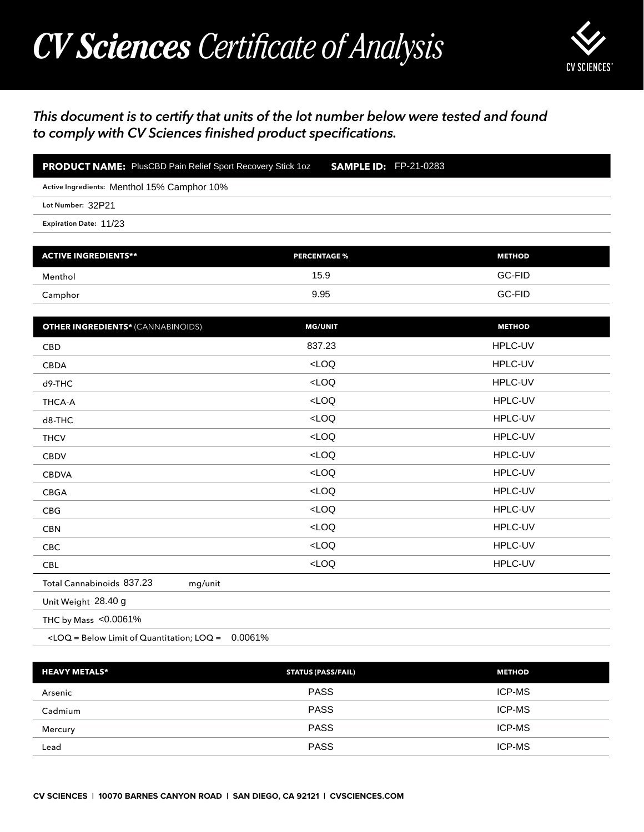## *CV Sciences Certificate of Analysis*



## *This document is to certify that units of the lot number below were tested and found to comply with CV Sciences finished product specifications.*

| <b>PRODUCT NAME:</b> PlusCBD Pain Relief Sport Recovery Stick 1oz <b>SAMPLE ID:</b> FP-21-0283 |  |
|------------------------------------------------------------------------------------------------|--|
| Active Ingredients: Menthol 15% Camphor 10%                                                    |  |
| Lot Number: 32P21                                                                              |  |
| Expiration Date: 11/23                                                                         |  |

| <b>ACTIVE INGREDIENTS**</b> | <b>PERCENTAGE %</b> | <b>METHOD</b> |
|-----------------------------|---------------------|---------------|
| Menthol                     | 15.9                | GC-FID        |
| Camphor                     | 9.95                | GC-FID        |

| <b>PRODUCT NAME:</b> PlusCBD Pain Relief Sport Recovery Stick 1oz                                | <b>SAMPLE ID: FP-21-0283</b> |               |
|--------------------------------------------------------------------------------------------------|------------------------------|---------------|
| Active Ingredients: Menthol 15% Camphor 10%                                                      |                              |               |
| Lot Number: 32P21                                                                                |                              |               |
| Expiration Date: 11/23                                                                           |                              |               |
|                                                                                                  |                              |               |
| <b>ACTIVE INGREDIENTS**</b>                                                                      | <b>PERCENTAGE %</b>          | <b>METHOD</b> |
| Menthol                                                                                          | 15.9                         | GC-FID        |
| Camphor                                                                                          | 9.95                         | GC-FID        |
| <b>OTHER INGREDIENTS*</b> (CANNABINOIDS)                                                         | <b>MG/UNIT</b>               | <b>METHOD</b> |
| CBD                                                                                              | 837.23                       | HPLC-UV       |
| <b>CBDA</b>                                                                                      | LOO                          | HPLC-UV       |
| d9-THC                                                                                           | $<$ LOQ                      | HPLC-UV       |
| <b>THCA-A</b>                                                                                    | LOO                          | HPLC-UV       |
| d8-THC                                                                                           | LOO                          | HPLC-UV       |
| <b>THCV</b>                                                                                      | LOO                          | HPLC-UV       |
| <b>CBDV</b>                                                                                      | LOO                          | HPLC-UV       |
| <b>CBDVA</b>                                                                                     | LOO                          | HPLC-UV       |
| CBGA                                                                                             | $<$ LOQ                      | HPLC-UV       |
| CBG                                                                                              | LOO                          | HPLC-UV       |
| <b>CBN</b>                                                                                       | $<$ LOQ                      | HPLC-UV       |
| <b>CBC</b>                                                                                       | $<$ LOQ                      | HPLC-UV       |
| <b>CBL</b>                                                                                       | $<$ LOQ                      | HPLC-UV       |
| Total Cannabinoids 837.23<br>mg/unit                                                             |                              |               |
| Unit Weight 28.40 g                                                                              |                              |               |
| THC by Mass <0.0061%                                                                             |                              |               |
| <loq =="" below="" limit="" loq="0.0061%&lt;/td" of="" quantitation;=""><td></td><td></td></loq> |                              |               |
| <b>HEAVY METALS*</b>                                                                             | <b>STATUS (PASS/FAIL)</b>    | <b>METHOD</b> |
| Arsenic                                                                                          | <b>PASS</b>                  | ICP-MS        |
| Cadmium                                                                                          | <b>PASS</b>                  | ICP-MS        |
| Mercury                                                                                          | <b>PASS</b>                  | ICP-MS        |

| <b>HEAVY METALS*</b> | <b>STATUS (PASS/FAIL)</b> | <b>METHOD</b> |
|----------------------|---------------------------|---------------|
| Arsenic              | <b>PASS</b>               | <b>ICP-MS</b> |
| Cadmium              | <b>PASS</b>               | <b>ICP-MS</b> |
| Mercury              | <b>PASS</b>               | ICP-MS        |
| Lead                 | <b>PASS</b>               | <b>ICP-MS</b> |